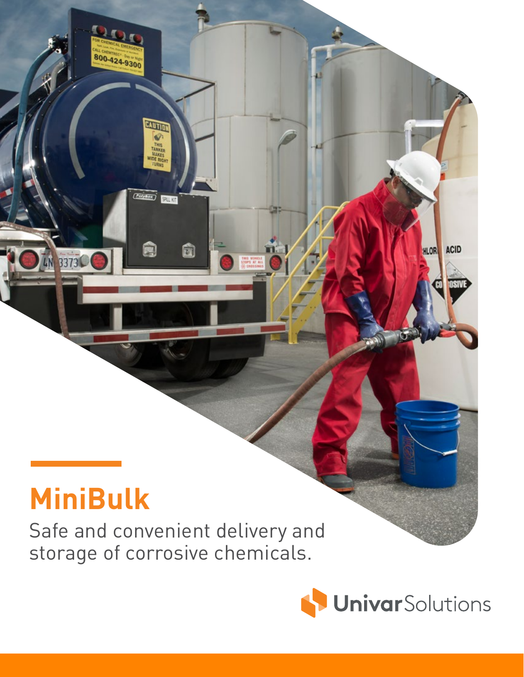## **MiniBulk**

LN 3373

 $20.$ 

800-424-9300

CAUTION

**ANK** 

 $\overline{(\overline{f}_{\text{c}})_{\text{f}}(\overline{f_{\text{c}}})}$ 

च

Safe and convenient delivery and storage of corrosive chemicals.



ACID

**HLOR**